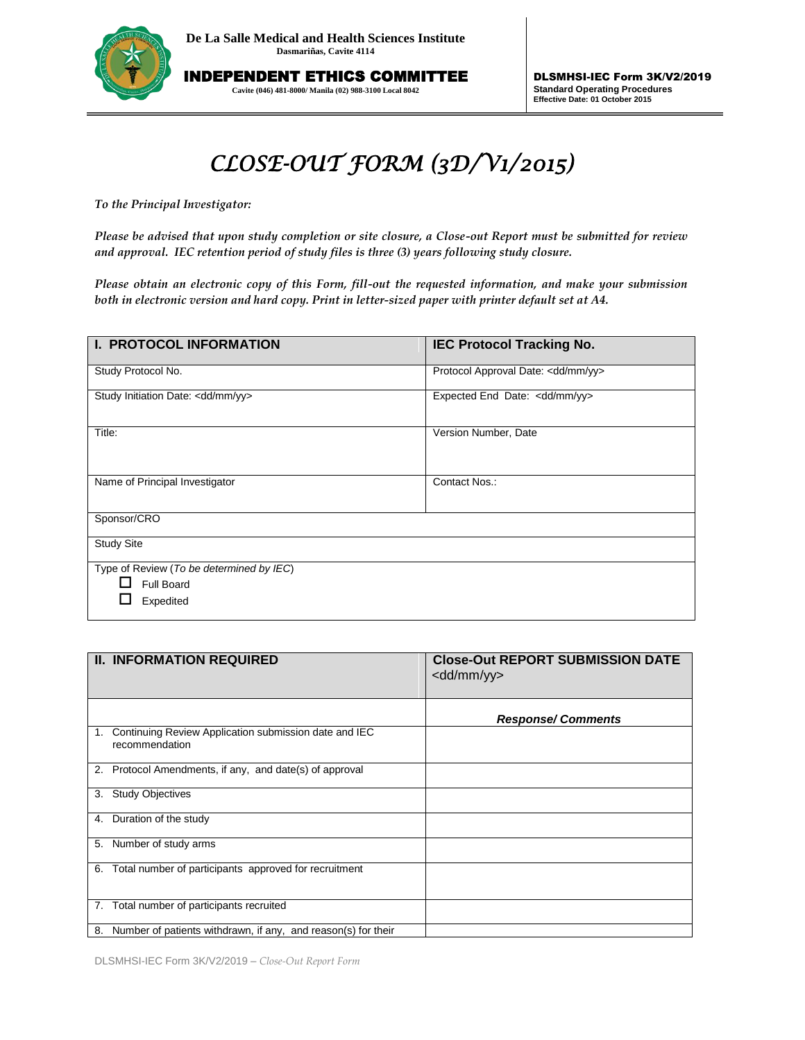

INDEPENDENT ETHICS COMMITTEE **Cavite (046) 481-8000/ Manila (02) 988-3100 Local 8042**

DLSMHSI-IEC Form 3K/V2/2019 **Standard Operating Procedures Effective Date: 01 October 2015**

## *CLOSE-OUT FORM (3D/V1/2015)*

*To the Principal Investigator:* 

*Please be advised that upon study completion or site closure, a Close-out Report must be submitted for review and approval. IEC retention period of study files is three (3) years following study closure.*

*Please obtain an electronic copy of this Form, fill-out the requested information, and make your submission both in electronic version and hard copy. Print in letter-sized paper with printer default set at A4.*

| <b>I. PROTOCOL INFORMATION</b>                                      | <b>IEC Protocol Tracking No.</b>    |  |  |  |
|---------------------------------------------------------------------|-------------------------------------|--|--|--|
| Study Protocol No.                                                  | Protocol Approval Date: < dd/mm/yy> |  |  |  |
| Study Initiation Date: <dd mm="" yy=""></dd>                        | Expected End Date: < dd/mm/yy>      |  |  |  |
| Title:                                                              | Version Number, Date                |  |  |  |
| Name of Principal Investigator                                      | Contact Nos.:                       |  |  |  |
| Sponsor/CRO                                                         |                                     |  |  |  |
| <b>Study Site</b>                                                   |                                     |  |  |  |
| Type of Review (To be determined by IEC)<br>Full Board<br>Expedited |                                     |  |  |  |

|    | <b>II. INFORMATION REQUIRED</b>                                         | <b>Close-Out REPORT SUBMISSION DATE</b><br><dd mm="" yy=""></dd> |
|----|-------------------------------------------------------------------------|------------------------------------------------------------------|
|    |                                                                         | <b>Response/Comments</b>                                         |
| 1. | Continuing Review Application submission date and IEC<br>recommendation |                                                                  |
|    | 2. Protocol Amendments, if any, and date(s) of approval                 |                                                                  |
| 3. | <b>Study Objectives</b>                                                 |                                                                  |
| 4. | Duration of the study                                                   |                                                                  |
| 5. | Number of study arms                                                    |                                                                  |
| 6. | Total number of participants approved for recruitment                   |                                                                  |
|    | 7. Total number of participants recruited                               |                                                                  |
| 8. | Number of patients withdrawn, if any, and reason(s) for their           |                                                                  |